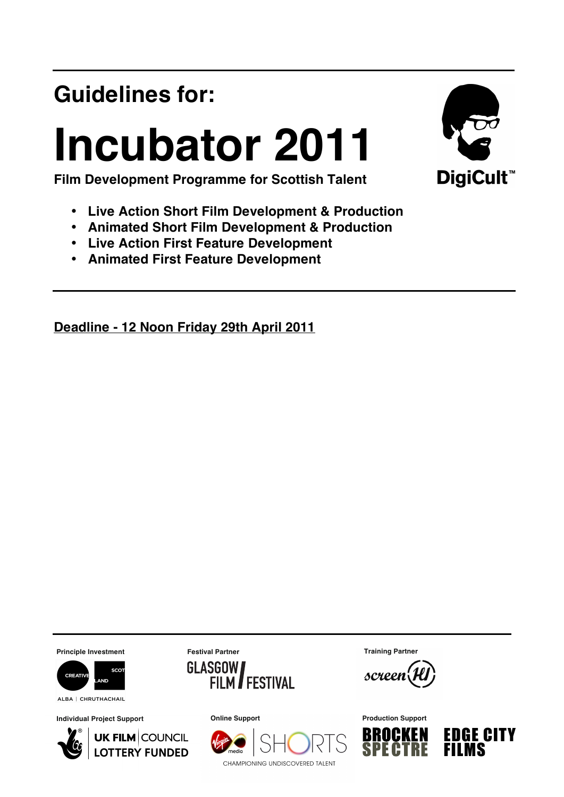## **Guidelines for:**

# **Incubator 2011**



**Film Development Programme for Scottish Talent**

- **Live Action Short Film Development & Production**
- **Animated Short Film Development & Production**
- **Live Action First Feature Development**
- **Animated First Feature Development**

**Deadline - 12 Noon Friday 29th April 2011**

**Principle Investment Festival Partner**



ALBA | CHRUTHACHAIL

**Individual Project Support**





**Training Partner**

screen



CHAMPIONING UNDISCOVERED TALENT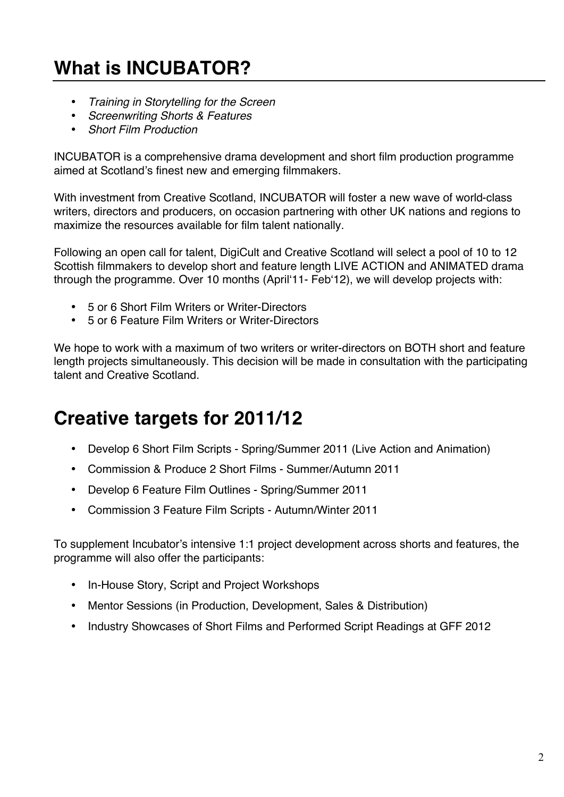### **What is INCUBATOR?**

- *Training in Storytelling for the Screen*
- *Screenwriting Shorts & Features*
- *Short Film Production*

INCUBATOR is a comprehensive drama development and short film production programme aimed at Scotland's finest new and emerging filmmakers.

With investment from Creative Scotland, INCUBATOR will foster a new wave of world-class writers, directors and producers, on occasion partnering with other UK nations and regions to maximize the resources available for film talent nationally.

Following an open call for talent, DigiCult and Creative Scotland will select a pool of 10 to 12 Scottish filmmakers to develop short and feature length LIVE ACTION and ANIMATED drama through the programme. Over 10 months (Aprilʻ11- Febʻ12), we will develop projects with:

- 5 or 6 Short Film Writers or Writer-Directors
- 5 or 6 Feature Film Writers or Writer-Directors

We hope to work with a maximum of two writers or writer-directors on BOTH short and feature length projects simultaneously. This decision will be made in consultation with the participating talent and Creative Scotland.

### **Creative targets for 2011/12**

- Develop 6 Short Film Scripts Spring/Summer 2011 (Live Action and Animation)
- Commission & Produce 2 Short Films Summer/Autumn 2011
- Develop 6 Feature Film Outlines Spring/Summer 2011
- Commission 3 Feature Film Scripts Autumn/Winter 2011

To supplement Incubator's intensive 1:1 project development across shorts and features, the programme will also offer the participants:

- In-House Story, Script and Project Workshops
- Mentor Sessions (in Production, Development, Sales & Distribution)
- Industry Showcases of Short Films and Performed Script Readings at GFF 2012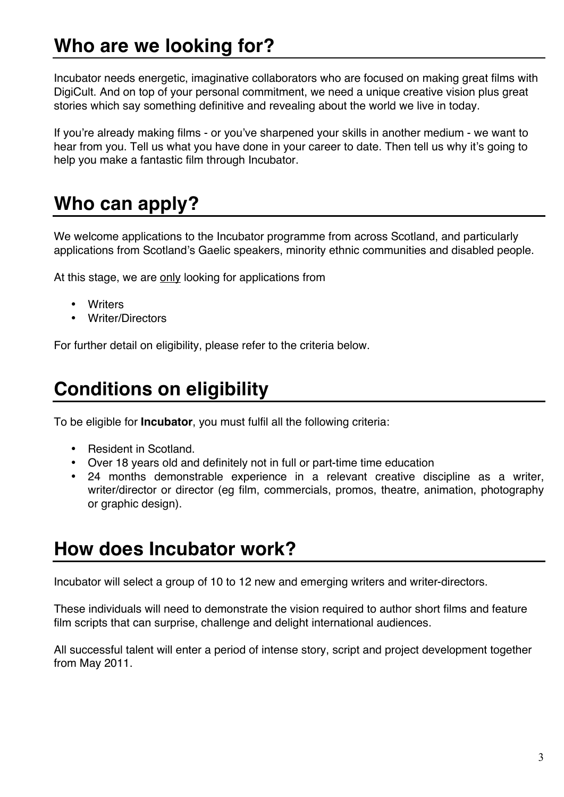### **Who are we looking for?**

Incubator needs energetic, imaginative collaborators who are focused on making great films with DigiCult. And on top of your personal commitment, we need a unique creative vision plus great stories which say something definitive and revealing about the world we live in today.

If you're already making films - or you've sharpened your skills in another medium - we want to hear from you. Tell us what you have done in your career to date. Then tell us why it's going to help you make a fantastic film through Incubator.

### **Who can apply?**

We welcome applications to the Incubator programme from across Scotland, and particularly applications from Scotland's Gaelic speakers, minority ethnic communities and disabled people.

At this stage, we are only looking for applications from

- Writers
- Writer/Directors

For further detail on eligibility, please refer to the criteria below.

### **Conditions on eligibility**

To be eligible for **Incubator**, you must fulfil all the following criteria:

- Resident in Scotland.
- Over 18 years old and definitely not in full or part-time time education
- 24 months demonstrable experience in a relevant creative discipline as a writer, writer/director or director (eg film, commercials, promos, theatre, animation, photography or graphic design).

### **How does Incubator work?**

Incubator will select a group of 10 to 12 new and emerging writers and writer-directors.

These individuals will need to demonstrate the vision required to author short films and feature film scripts that can surprise, challenge and delight international audiences.

All successful talent will enter a period of intense story, script and project development together from May 2011.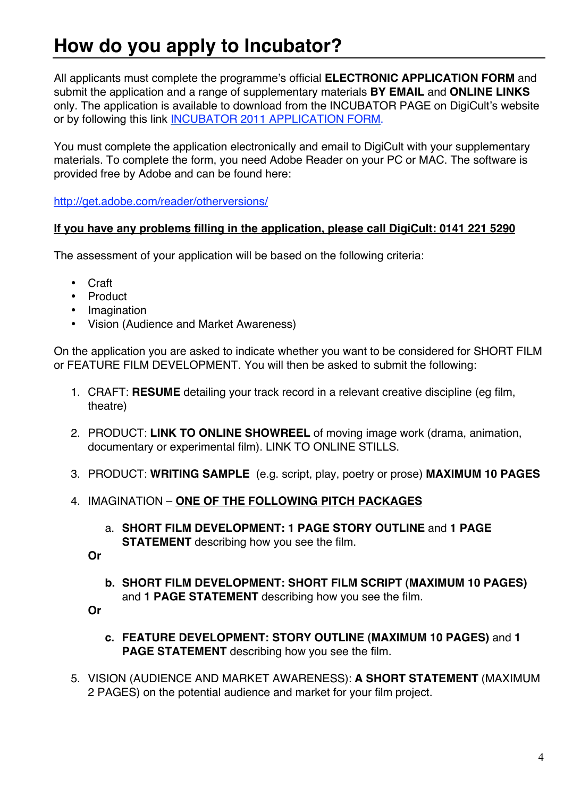### **How do you apply to Incubator?**

All applicants must complete the programme's official **ELECTRONIC APPLICATION FORM** and submit the application and a range of supplementary materials **BY EMAIL** and **ONLINE LINKS** only. The application is available to download from the INCUBATOR PAGE on DigiCult's website or by following this link [INCUBATOR 2011 APPLICATION FORM.](http://www.digicult.co.uk/pdf/INCUBATOR2011Application.pdf)

You must complete the application electronically and email to DigiCult with your supplementary materials. To complete the form, you need Adobe Reader on your PC or MAC. The software is provided free by Adobe and can be found here:

http://get.adobe.com/reader/otherversions/

#### **If you have any problems filling in the application, please call DigiCult: 0141 221 5290**

The assessment of your application will be based on the following criteria:

- Craft
- Product
- Imagination
- Vision (Audience and Market Awareness)

On the application you are asked to indicate whether you want to be considered for SHORT FILM or FEATURE FILM DEVELOPMENT. You will then be asked to submit the following:

- 1. CRAFT: **RESUME** detailing your track record in a relevant creative discipline (eg film, theatre)
- 2. PRODUCT: **LINK TO ONLINE SHOWREEL** of moving image work (drama, animation, documentary or experimental film). LINK TO ONLINE STILLS.
- 3. PRODUCT: **WRITING SAMPLE** (e.g. script, play, poetry or prose) **MAXIMUM 10 PAGES**
- 4. IMAGINATION **ONE OF THE FOLLOWING PITCH PACKAGES**
	- a. **SHORT FILM DEVELOPMENT: 1 PAGE STORY OUTLINE** and **1 PAGE STATEMENT** describing how you see the film.

**Or**

**b. SHORT FILM DEVELOPMENT: SHORT FILM SCRIPT (MAXIMUM 10 PAGES)** and **1 PAGE STATEMENT** describing how you see the film.

**Or**

- **c. FEATURE DEVELOPMENT: STORY OUTLINE (MAXIMUM 10 PAGES)** and **1 PAGE STATEMENT** describing how you see the film.
- 5. VISION (AUDIENCE AND MARKET AWARENESS): **A SHORT STATEMENT** (MAXIMUM 2 PAGES) on the potential audience and market for your film project.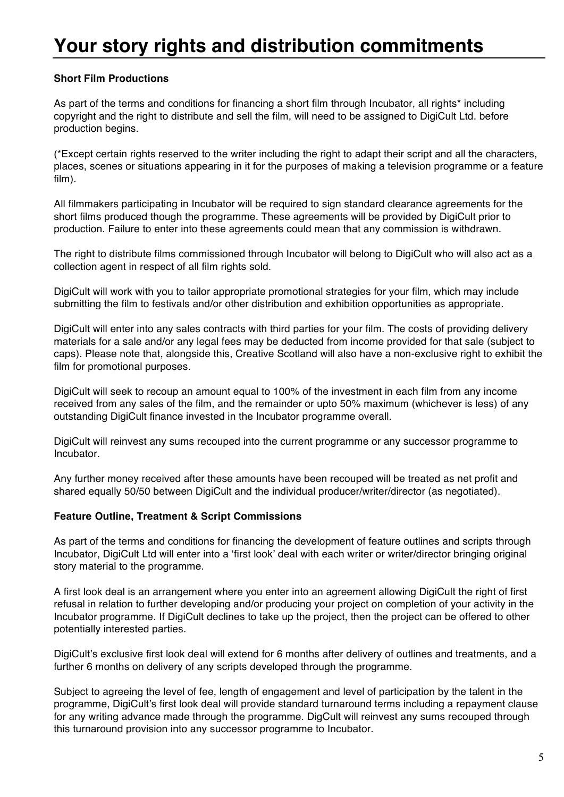### **Your story rights and distribution commitments**

#### **Short Film Productions**

As part of the terms and conditions for financing a short film through Incubator, all rights\* including copyright and the right to distribute and sell the film, will need to be assigned to DigiCult Ltd. before production begins.

(\*Except certain rights reserved to the writer including the right to adapt their script and all the characters, places, scenes or situations appearing in it for the purposes of making a television programme or a feature film).

All filmmakers participating in Incubator will be required to sign standard clearance agreements for the short films produced though the programme. These agreements will be provided by DigiCult prior to production. Failure to enter into these agreements could mean that any commission is withdrawn.

The right to distribute films commissioned through Incubator will belong to DigiCult who will also act as a collection agent in respect of all film rights sold.

DigiCult will work with you to tailor appropriate promotional strategies for your film, which may include submitting the film to festivals and/or other distribution and exhibition opportunities as appropriate.

DigiCult will enter into any sales contracts with third parties for your film. The costs of providing delivery materials for a sale and/or any legal fees may be deducted from income provided for that sale (subject to caps). Please note that, alongside this, Creative Scotland will also have a non-exclusive right to exhibit the film for promotional purposes.

DigiCult will seek to recoup an amount equal to 100% of the investment in each film from any income received from any sales of the film, and the remainder or upto 50% maximum (whichever is less) of any outstanding DigiCult finance invested in the Incubator programme overall.

DigiCult will reinvest any sums recouped into the current programme or any successor programme to Incubator.

Any further money received after these amounts have been recouped will be treated as net profit and shared equally 50/50 between DigiCult and the individual producer/writer/director (as negotiated).

#### **Feature Outline, Treatment & Script Commissions**

As part of the terms and conditions for financing the development of feature outlines and scripts through Incubator, DigiCult Ltd will enter into a ʻfirst look' deal with each writer or writer/director bringing original story material to the programme.

A first look deal is an arrangement where you enter into an agreement allowing DigiCult the right of first refusal in relation to further developing and/or producing your project on completion of your activity in the Incubator programme. If DigiCult declines to take up the project, then the project can be offered to other potentially interested parties.

DigiCult's exclusive first look deal will extend for 6 months after delivery of outlines and treatments, and a further 6 months on delivery of any scripts developed through the programme.

Subject to agreeing the level of fee, length of engagement and level of participation by the talent in the programme, DigiCult's first look deal will provide standard turnaround terms including a repayment clause for any writing advance made through the programme. DigCult will reinvest any sums recouped through this turnaround provision into any successor programme to Incubator.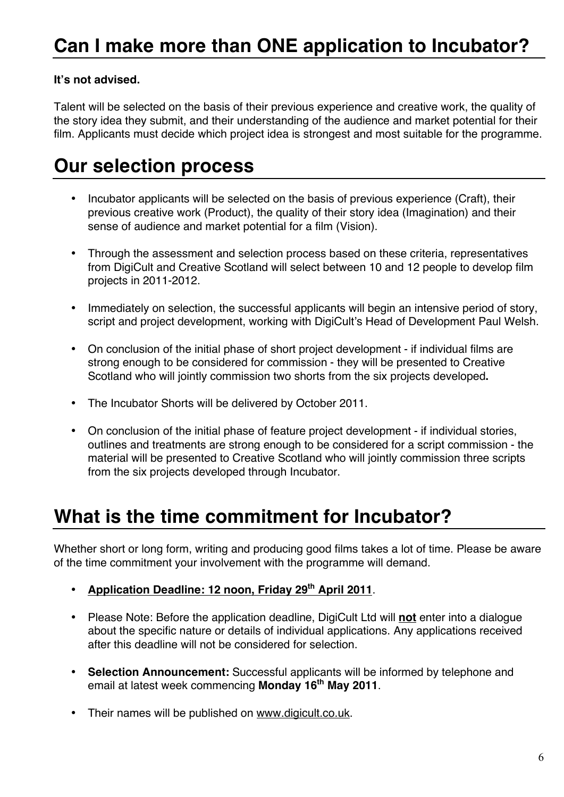#### **It's not advised.**

Talent will be selected on the basis of their previous experience and creative work, the quality of the story idea they submit, and their understanding of the audience and market potential for their film. Applicants must decide which project idea is strongest and most suitable for the programme.

### **Our selection process**

- Incubator applicants will be selected on the basis of previous experience (Craft), their previous creative work (Product), the quality of their story idea (Imagination) and their sense of audience and market potential for a film (Vision).
- Through the assessment and selection process based on these criteria, representatives from DigiCult and Creative Scotland will select between 10 and 12 people to develop film projects in 2011-2012.
- Immediately on selection, the successful applicants will begin an intensive period of story, script and project development, working with DigiCult's Head of Development Paul Welsh.
- On conclusion of the initial phase of short project development if individual films are strong enough to be considered for commission - they will be presented to Creative Scotland who will jointly commission two shorts from the six projects developed**.**
- The Incubator Shorts will be delivered by October 2011.
- On conclusion of the initial phase of feature project development if individual stories, outlines and treatments are strong enough to be considered for a script commission - the material will be presented to Creative Scotland who will jointly commission three scripts from the six projects developed through Incubator.

### **What is the time commitment for Incubator?**

Whether short or long form, writing and producing good films takes a lot of time. Please be aware of the time commitment your involvement with the programme will demand.

- **Application Deadline: 12 noon, Friday 29th April 2011**.
- Please Note: Before the application deadline, DigiCult Ltd will **not** enter into a dialogue about the specific nature or details of individual applications. Any applications received after this deadline will not be considered for selection.
- **Selection Announcement:** Successful applicants will be informed by telephone and email at latest week commencing **Monday 16th May 2011**.
- Their names will be published on www.digicult.co.uk.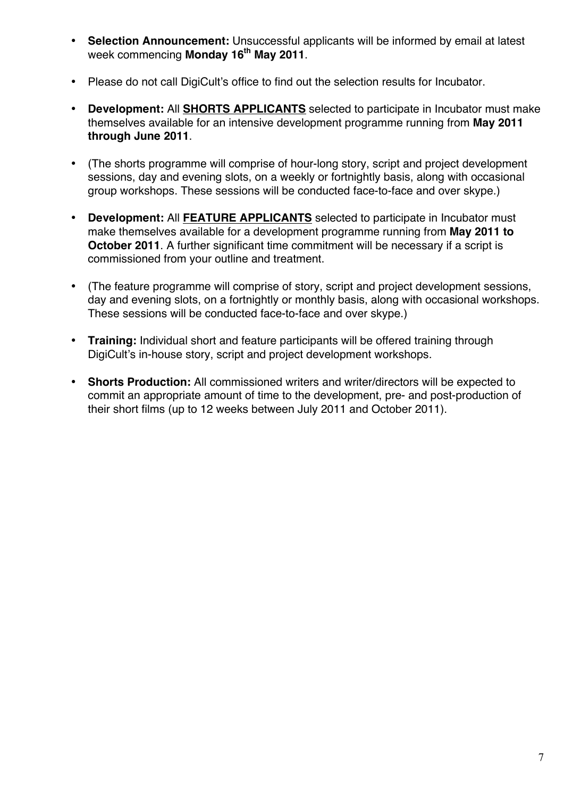- **Selection Announcement:** Unsuccessful applicants will be informed by email at latest week commencing **Monday 16<sup>th</sup> May 2011**.
- Please do not call DigiCult's office to find out the selection results for Incubator.
- **Development:** All **SHORTS APPLICANTS** selected to participate in Incubator must make themselves available for an intensive development programme running from **May 2011 through June 2011**.
- (The shorts programme will comprise of hour-long story, script and project development sessions, day and evening slots, on a weekly or fortnightly basis, along with occasional group workshops. These sessions will be conducted face-to-face and over skype.)
- **Development:** All **FEATURE APPLICANTS** selected to participate in Incubator must make themselves available for a development programme running from **May 2011 to October 2011**. A further significant time commitment will be necessary if a script is commissioned from your outline and treatment.
- (The feature programme will comprise of story, script and project development sessions, day and evening slots, on a fortnightly or monthly basis, along with occasional workshops. These sessions will be conducted face-to-face and over skype.)
- **Training:** Individual short and feature participants will be offered training through DigiCult's in-house story, script and project development workshops.
- **Shorts Production:** All commissioned writers and writer/directors will be expected to commit an appropriate amount of time to the development, pre- and post-production of their short films (up to 12 weeks between July 2011 and October 2011).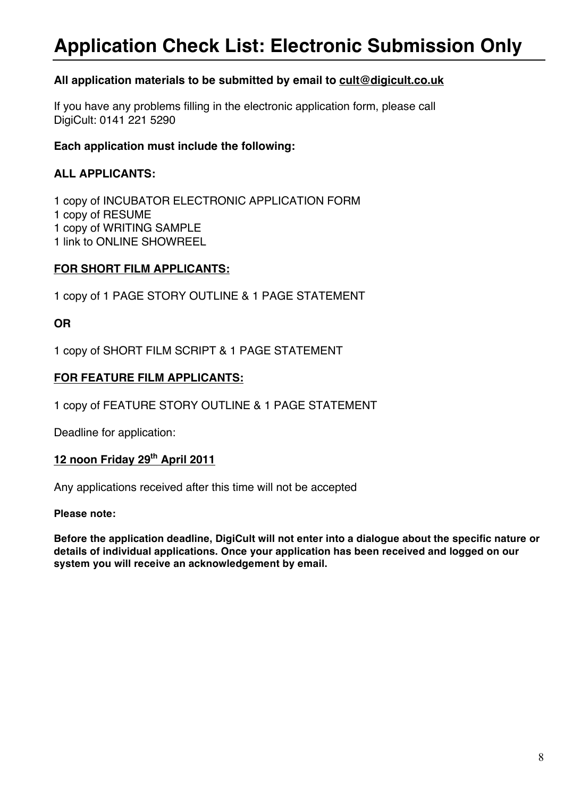### **Application Check List: Electronic Submission Only**

#### **All application materials to be submitted by email to cult@digicult.co.uk**

If you have any problems filling in the electronic application form, please call DigiCult: 0141 221 5290

#### **Each application must include the following:**

#### **ALL APPLICANTS:**

1 copy of INCUBATOR ELECTRONIC APPLICATION FORM 1 copy of RESUME 1 copy of WRITING SAMPLE 1 link to ONLINE SHOWREEL

#### **FOR SHORT FILM APPLICANTS:**

1 copy of 1 PAGE STORY OUTLINE & 1 PAGE STATEMENT

#### **OR**

1 copy of SHORT FILM SCRIPT & 1 PAGE STATEMENT

#### **FOR FEATURE FILM APPLICANTS:**

1 copy of FEATURE STORY OUTLINE & 1 PAGE STATEMENT

Deadline for application:

#### **12 noon Friday 29th April 2011**

Any applications received after this time will not be accepted

#### **Please note:**

**Before the application deadline, DigiCult will not enter into a dialogue about the specific nature or details of individual applications. Once your application has been received and logged on our system you will receive an acknowledgement by email.**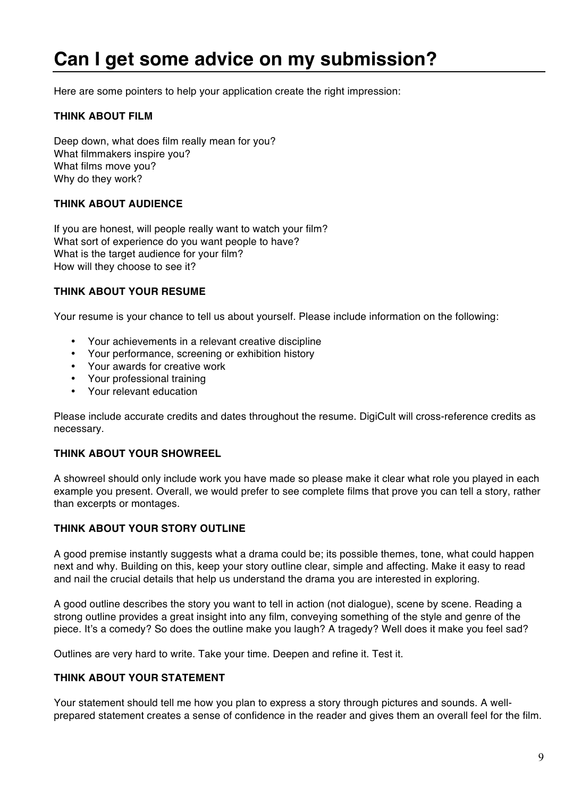### **Can I get some advice on my submission?**

Here are some pointers to help your application create the right impression:

#### **THINK ABOUT FILM**

Deep down, what does film really mean for you? What filmmakers inspire you? What films move you? Why do they work?

#### **THINK ABOUT AUDIENCE**

If you are honest, will people really want to watch your film? What sort of experience do you want people to have? What is the target audience for your film? How will they choose to see it?

#### **THINK ABOUT YOUR RESUME**

Your resume is your chance to tell us about yourself. Please include information on the following:

- Your achievements in a relevant creative discipline
- Your performance, screening or exhibition history
- Your awards for creative work
- Your professional training
- Your relevant education

Please include accurate credits and dates throughout the resume. DigiCult will cross-reference credits as necessary.

#### **THINK ABOUT YOUR SHOWREEL**

A showreel should only include work you have made so please make it clear what role you played in each example you present. Overall, we would prefer to see complete films that prove you can tell a story, rather than excerpts or montages.

#### **THINK ABOUT YOUR STORY OUTLINE**

A good premise instantly suggests what a drama could be; its possible themes, tone, what could happen next and why. Building on this, keep your story outline clear, simple and affecting. Make it easy to read and nail the crucial details that help us understand the drama you are interested in exploring.

A good outline describes the story you want to tell in action (not dialogue), scene by scene. Reading a strong outline provides a great insight into any film, conveying something of the style and genre of the piece. It's a comedy? So does the outline make you laugh? A tragedy? Well does it make you feel sad?

Outlines are very hard to write. Take your time. Deepen and refine it. Test it.

#### **THINK ABOUT YOUR STATEMENT**

Your statement should tell me how you plan to express a story through pictures and sounds. A wellprepared statement creates a sense of confidence in the reader and gives them an overall feel for the film.